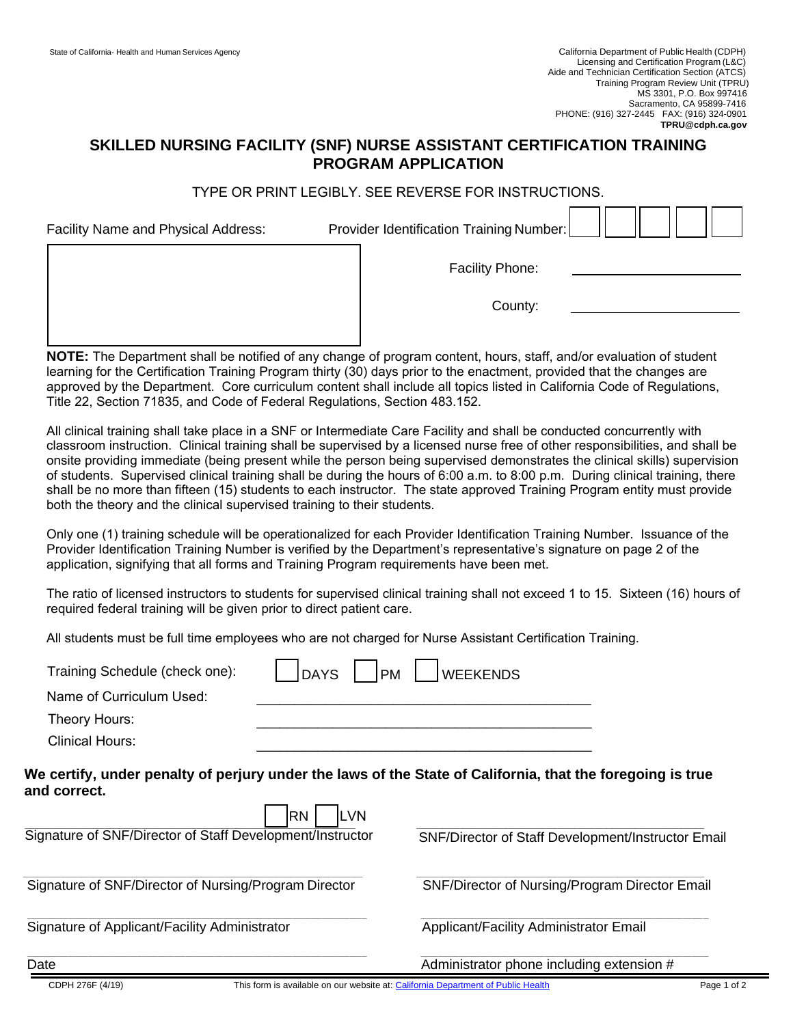## **SKILLED NURSING FACILITY (SNF) NURSE ASSISTANT CERTIFICATION TRAINING PROGRAM APPLICATION**

## TYPE OR PRINT LEGIBLY. SEE REVERSE FOR INSTRUCTIONS.

| Facility Name and Physical Address: | Provider Identification Training Number: |  |
|-------------------------------------|------------------------------------------|--|
|                                     | <b>Facility Phone:</b>                   |  |
|                                     | County:                                  |  |
|                                     |                                          |  |

**NOTE:** The Department shall be notified of any change of program content, hours, staff, and/or evaluation of student learning for the Certification Training Program thirty (30) days prior to the enactment, provided that the changes are approved by the Department. Core curriculum content shall include all topics listed in California Code of Regulations, Title 22, Section 71835, and Code of Federal Regulations, Section 483.152.

All clinical training shall take place in a SNF or Intermediate Care Facility and shall be conducted concurrently with classroom instruction. Clinical training shall be supervised by a licensed nurse free of other responsibilities, and shall be onsite providing immediate (being present while the person being supervised demonstrates the clinical skills) supervision of students. Supervised clinical training shall be during the hours of 6:00 a.m. to 8:00 p.m. During clinical training, there shall be no more than fifteen (15) students to each instructor. The state approved Training Program entity must provide both the theory and the clinical supervised training to their students.

Only one (1) training schedule will be operationalized for each Provider Identification Training Number. Issuance of the Provider Identification Training Number is verified by the Department's representative's signature on page 2 of the application, signifying that all forms and Training Program requirements have been met.

The ratio of licensed instructors to students for supervised clinical training shall not exceed 1 to 15. Sixteen (16) hours of required federal training will be given prior to direct patient care.

All students must be full time employees who are not charged for Nurse Assistant Certification Training.

| Training Schedule (check one):                            | <b>DAYS</b><br><b>PM</b> | <b>WEEKENDS</b>                                                                                            |  |
|-----------------------------------------------------------|--------------------------|------------------------------------------------------------------------------------------------------------|--|
| Name of Curriculum Used:                                  |                          |                                                                                                            |  |
| Theory Hours:                                             |                          |                                                                                                            |  |
| Clinical Hours:                                           |                          |                                                                                                            |  |
| and correct.                                              |                          | We certify, under penalty of perjury under the laws of the State of California, that the foregoing is true |  |
| Signature of SNF/Director of Staff Development/Instructor | <b>RN</b><br><b>LVN</b>  | SNF/Director of Staff Development/Instructor Email                                                         |  |
| Signature of SNF/Director of Nursing/Program Director     |                          | SNF/Director of Nursing/Program Director Email                                                             |  |
| Signature of Applicant/Facility Administrator             |                          | Applicant/Facility Administrator Email                                                                     |  |
| Date                                                      |                          | Administrator phone including extension #                                                                  |  |